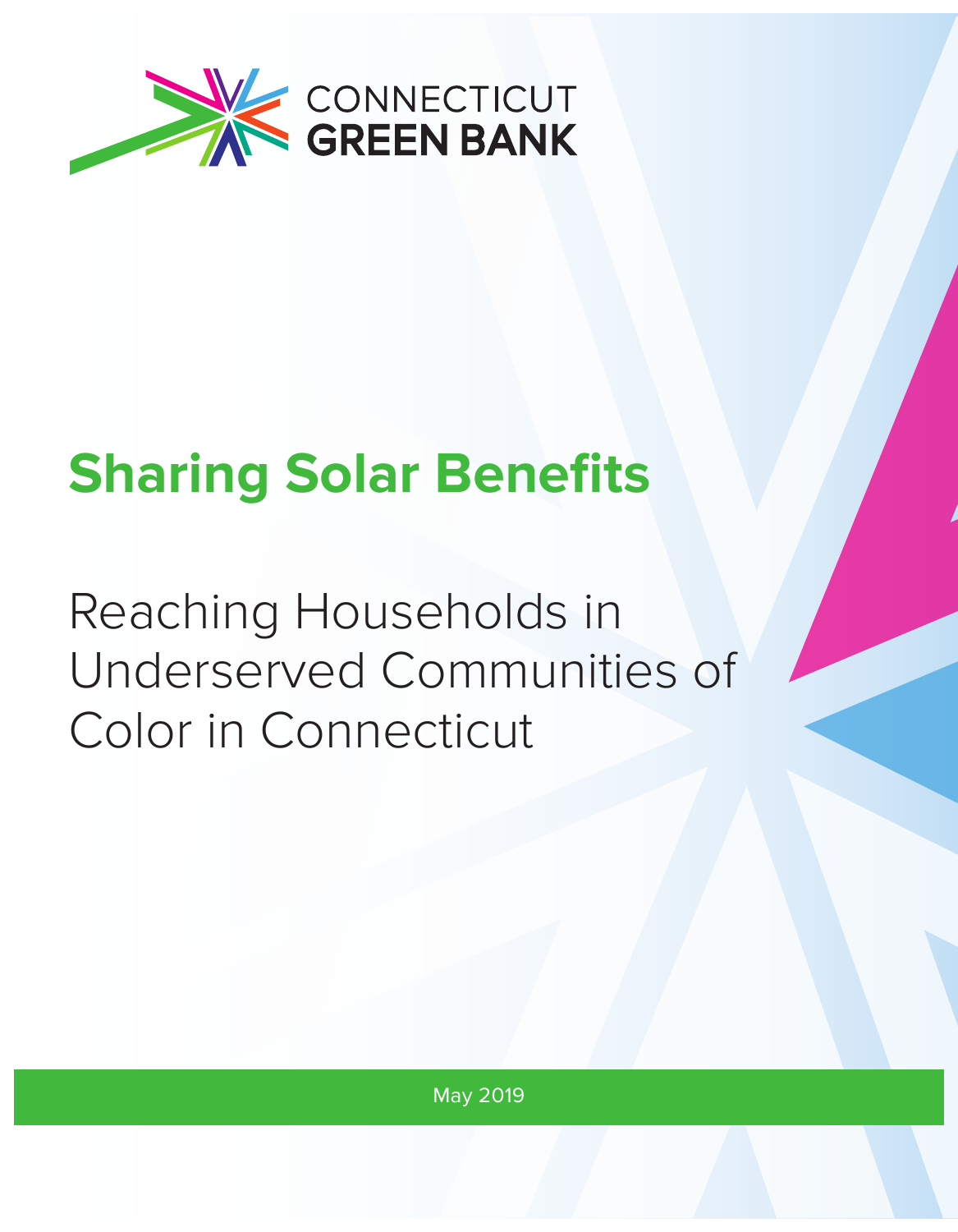

# **Sharing Solar Benefits**

Reaching Households in Underserved Communities of Color in Connecticut

May 2019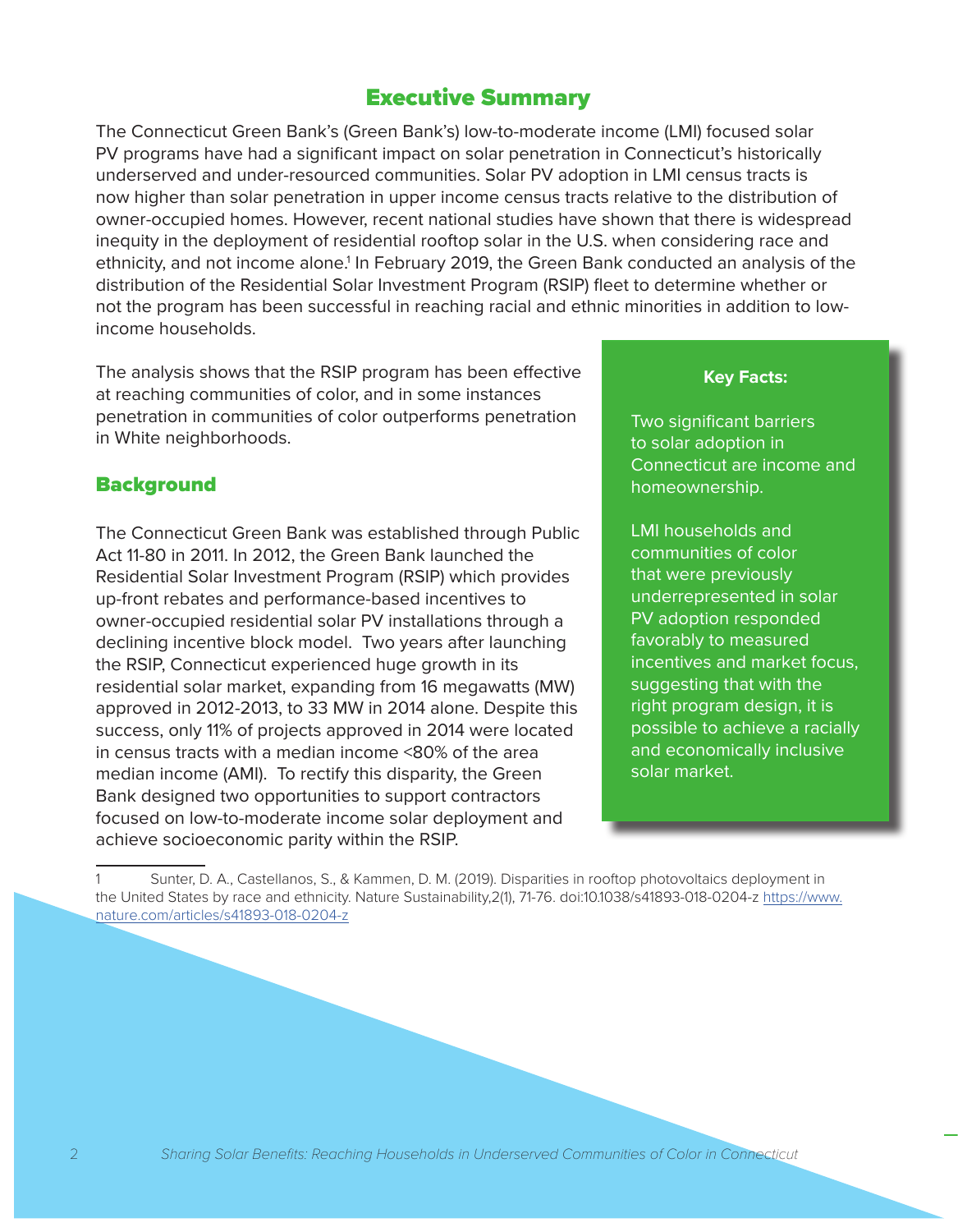# Executive Summary

The Connecticut Green Bank's (Green Bank's) low-to-moderate income (LMI) focused solar PV programs have had a significant impact on solar penetration in Connecticut's historically underserved and under-resourced communities. Solar PV adoption in LMI census tracts is now higher than solar penetration in upper income census tracts relative to the distribution of owner-occupied homes. However, recent national studies have shown that there is widespread inequity in the deployment of residential rooftop solar in the U.S. when considering race and ethnicity, and not income alone.<sup>1</sup> In February 2019, the Green Bank conducted an analysis of the distribution of the Residential Solar Investment Program (RSIP) fleet to determine whether or not the program has been successful in reaching racial and ethnic minorities in addition to lowincome households.

The analysis shows that the RSIP program has been effective at reaching communities of color, and in some instances penetration in communities of color outperforms penetration in White neighborhoods.

### **Background**

The Connecticut Green Bank was established through Public Act 11-80 in 2011. In 2012, the Green Bank launched the Residential Solar Investment Program (RSIP) which provides up-front rebates and performance-based incentives to owner-occupied residential solar PV installations through a declining incentive block model. Two years after launching the RSIP, Connecticut experienced huge growth in its residential solar market, expanding from 16 megawatts (MW) approved in 2012-2013, to 33 MW in 2014 alone. Despite this success, only 11% of projects approved in 2014 were located in census tracts with a median income <80% of the area median income (AMI). To rectify this disparity, the Green Bank designed two opportunities to support contractors focused on low-to-moderate income solar deployment and achieve socioeconomic parity within the RSIP.

#### **Key Facts:**

Two significant barriers to solar adoption in Connecticut are income and homeownership.

LMI households and communities of color that were previously underrepresented in solar PV adoption responded favorably to measured incentives and market focus, suggesting that with the right program design, it is possible to achieve a racially and economically inclusive solar market.

1 Sunter, D. A., Castellanos, S., & Kammen, D. M. (2019). Disparities in rooftop photovoltaics deployment in the United States by race and ethnicity. Nature Sustainability, 2(1), 71-76. doi:10.1038/s41893-018-0204-z https://www. nature.com/articles/s41893-018-0204-z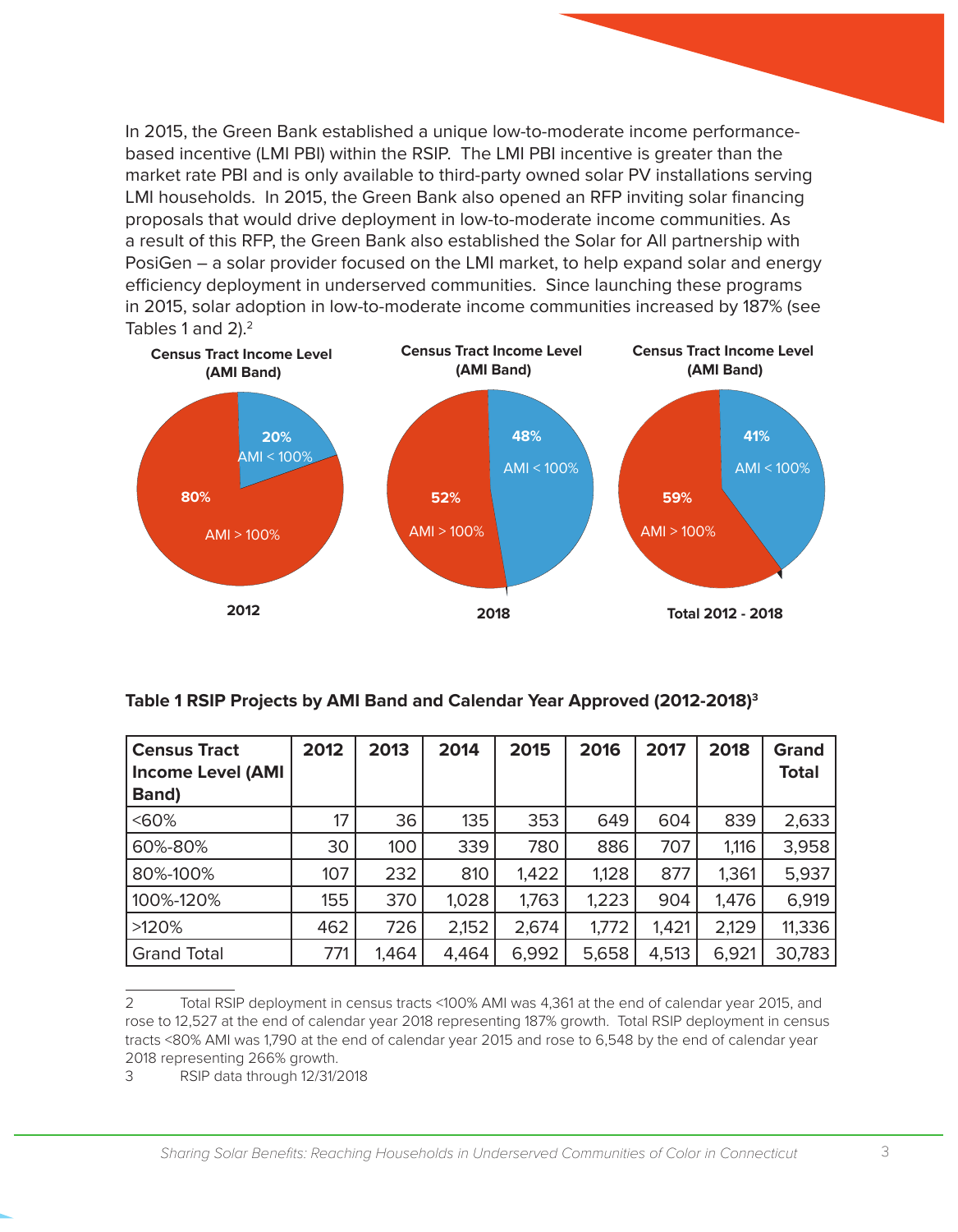In 2015, the Green Bank established a unique low-to-moderate income performancebased incentive (LMI PBI) within the RSIP. The LMI PBI incentive is greater than the market rate PBI and is only available to third-party owned solar PV installations serving LMI households. In 2015, the Green Bank also opened an RFP inviting solar financing proposals that would drive deployment in low-to-moderate income communities. As a result of this RFP, the Green Bank also established the Solar for All partnership with PosiGen – a solar provider focused on the LMI market, to help expand solar and energy efficiency deployment in underserved communities. Since launching these programs in 2015, solar adoption in low-to-moderate income communities increased by 187% (see Tables 1 and 2).<sup>2</sup>



| <b>Census Tract</b><br><b>Income Level (AMI</b><br>Band) | 2012 | 2013  | 2014  | 2015  | 2016  | 2017  | 2018  | Grand<br><b>Total</b> |
|----------------------------------------------------------|------|-------|-------|-------|-------|-------|-------|-----------------------|
| $&50\%$                                                  | 17   | 36    | 135   | 353   | 649   | 604   | 839   | 2,633                 |
| 60%-80%                                                  | 30   | 100   | 339   | 780   | 886   | 707   | 1,116 | 3,958                 |
| 80%-100%                                                 | 107  | 232   | 810   | 1,422 | 1,128 | 877   | 1,361 | 5,937                 |
| 100%-120%                                                | 155  | 370   | 1,028 | 1,763 | 1,223 | 904   | 1,476 | 6,919                 |
| >120%                                                    | 462  | 726   | 2,152 | 2,674 | 1,772 | 1,421 | 2,129 | 11,336                |
| <b>Grand Total</b>                                       | 771  | 1,464 | 4,464 | 6,992 | 5,658 | 4,513 | 6,921 | 30,783                |

#### **Table 1 RSIP Projects by AMI Band and Calendar Year Approved (2012-2018)<sup>3</sup>**

<sup>2</sup> Total RSIP deployment in census tracts <100% AMI was 4,361 at the end of calendar year 2015, and rose to 12,527 at the end of calendar year 2018 representing 187% growth. Total RSIP deployment in census tracts <80% AMI was 1,790 at the end of calendar year 2015 and rose to 6,548 by the end of calendar year 2018 representing 266% growth.

<sup>3</sup> RSIP data through 12/31/2018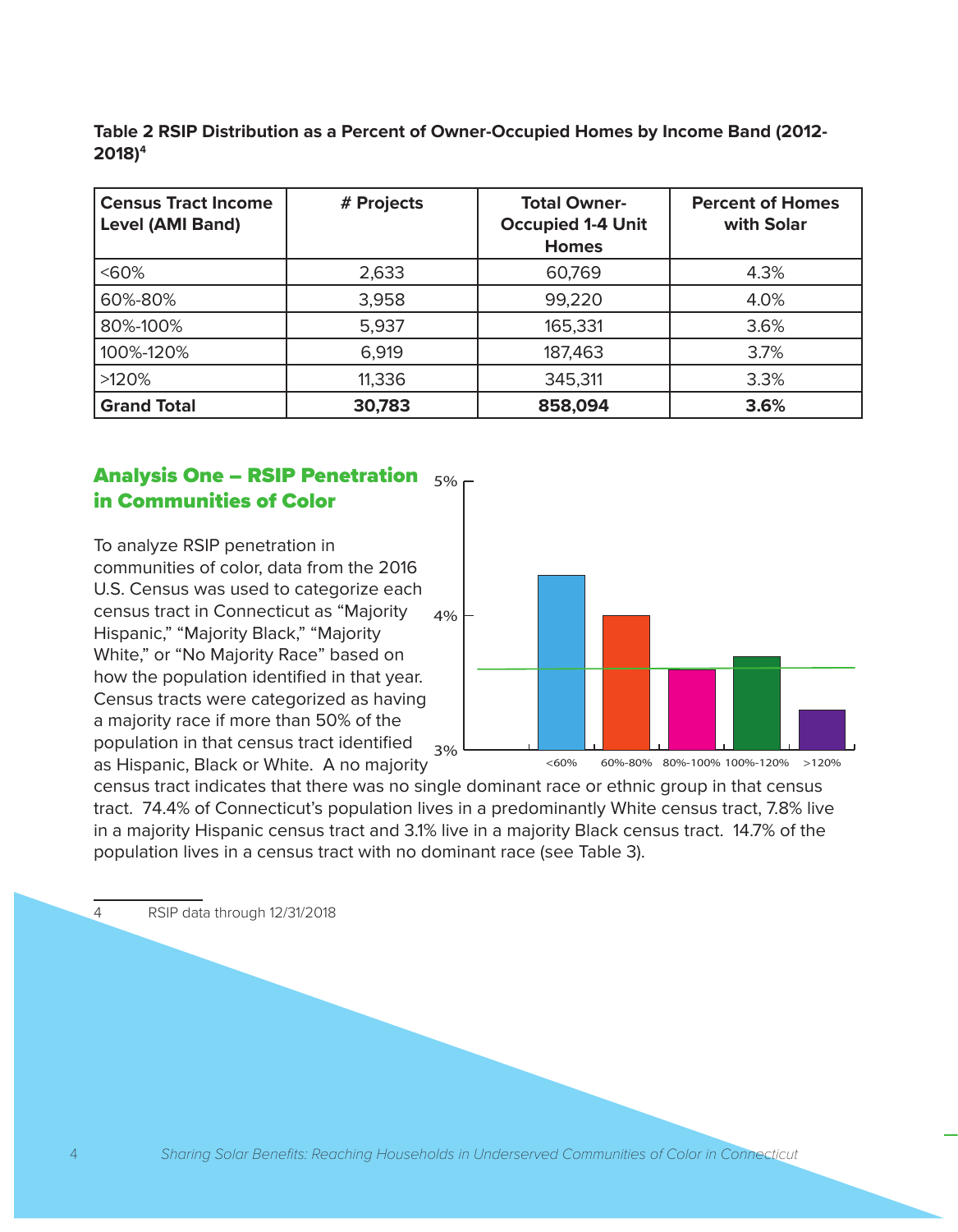**Table 2 RSIP Distribution as a Percent of Owner-Occupied Homes by Income Band (2012- 2018)4**

| <b>Census Tract Income</b><br><b>Level (AMI Band)</b> | # Projects | <b>Total Owner-</b><br><b>Occupied 1-4 Unit</b><br><b>Homes</b> | <b>Percent of Homes</b><br>with Solar |
|-------------------------------------------------------|------------|-----------------------------------------------------------------|---------------------------------------|
| $&50\%$                                               | 2,633      | 60,769                                                          | 4.3%                                  |
| 60%-80%                                               | 3,958      | 99,220                                                          | 4.0%                                  |
| 80%-100%                                              | 5,937      | 165,331                                                         | 3.6%                                  |
| 100%-120%                                             | 6,919      | 187,463                                                         | 3.7%                                  |
| >120%                                                 | 11,336     | 345,311                                                         | 3.3%                                  |
| <b>Grand Total</b>                                    | 30,783     | 858,094                                                         | 3.6%                                  |

# Analysis One – RSIP Penetration  $_{5\%}$ in Communities of Color

To analyze RSIP penetration in communities of color, data from the 2016 U.S. Census was used to categorize each census tract in Connecticut as "Majority Hispanic," "Majority Black," "Majority White," or "No Majority Race" based on how the population identified in that year. Census tracts were categorized as having a majority race if more than 50% of the population in that census tract identified as Hispanic, Black or White. A no majority 3% 4%



census tract indicates that there was no single dominant race or ethnic group in that census tract. 74.4% of Connecticut's population lives in a predominantly White census tract, 7.8% live in a majority Hispanic census tract and 3.1% live in a majority Black census tract. 14.7% of the population lives in a census tract with no dominant race (see Table 3).

4 RSIP data through 12/31/2018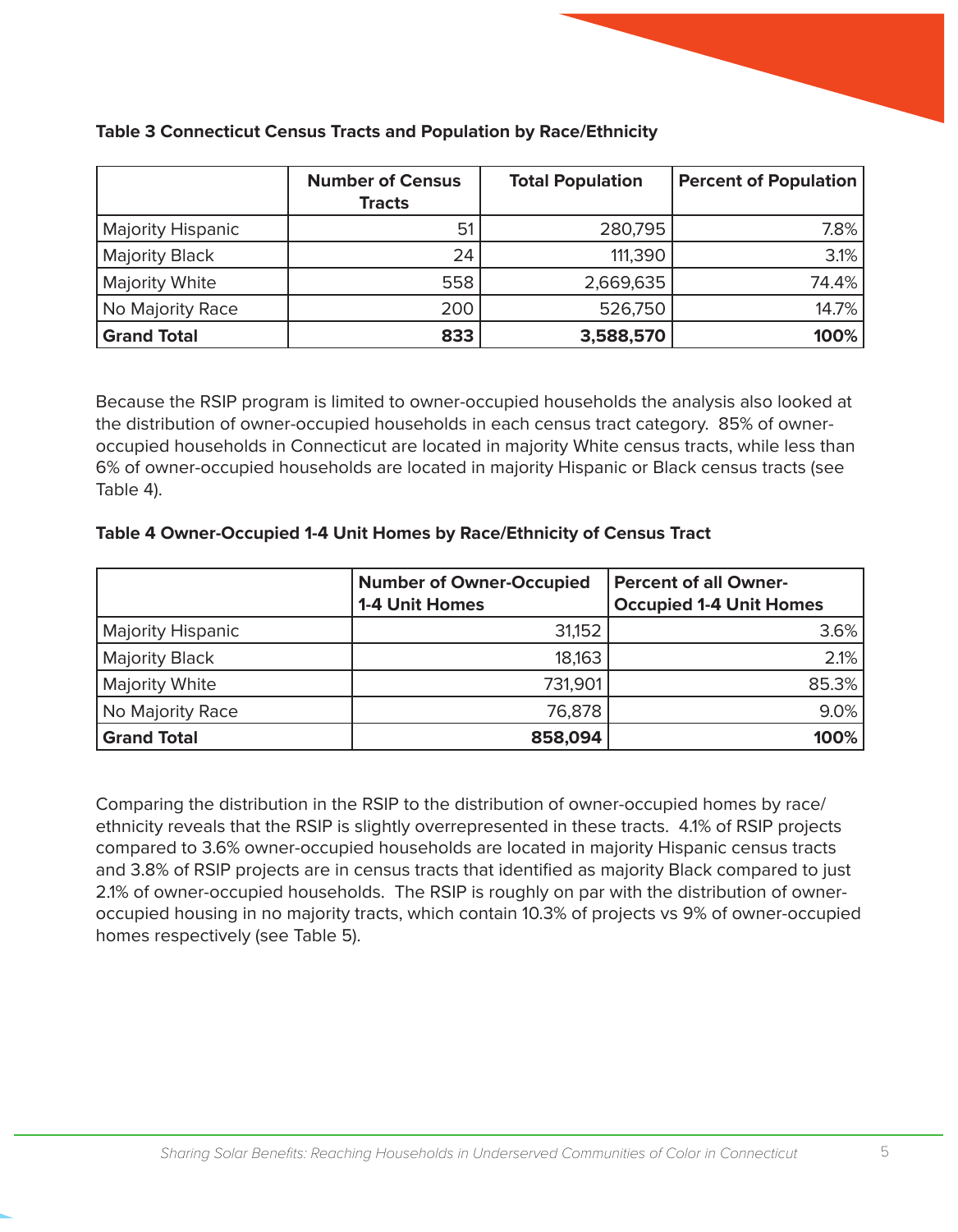

|                          | <b>Number of Census</b><br><b>Tracts</b> | <b>Total Population</b> | <b>Percent of Population</b> |
|--------------------------|------------------------------------------|-------------------------|------------------------------|
| <b>Majority Hispanic</b> | 51                                       | 280,795                 | 7.8%                         |
| <b>Majority Black</b>    | 24                                       | 111,390                 | $3.1\%$                      |
| <b>Majority White</b>    | 558                                      | 2,669,635               | 74.4%                        |
| No Majority Race         | 200                                      | 526,750                 | 14.7%                        |
| <b>Grand Total</b>       | 833                                      | 3,588,570               | 100%                         |

#### **Table 3 Connecticut Census Tracts and Population by Race/Ethnicity**

Because the RSIP program is limited to owner-occupied households the analysis also looked at the distribution of owner-occupied households in each census tract category. 85% of owneroccupied households in Connecticut are located in majority White census tracts, while less than 6% of owner-occupied households are located in majority Hispanic or Black census tracts (see Table 4).

## **Table 4 Owner-Occupied 1-4 Unit Homes by Race/Ethnicity of Census Tract**

|                          | <b>Number of Owner-Occupied</b><br>1-4 Unit Homes | <b>Percent of all Owner-</b><br><b>Occupied 1-4 Unit Homes</b> |
|--------------------------|---------------------------------------------------|----------------------------------------------------------------|
| <b>Majority Hispanic</b> | 31,152                                            | 3.6%                                                           |
| <b>Majority Black</b>    | 18,163                                            | 2.1%                                                           |
| <b>Majority White</b>    | 731,901                                           | 85.3%                                                          |
| No Majority Race         | 76,878                                            | 9.0%                                                           |
| <b>Grand Total</b>       | 858,094                                           | 100%                                                           |

Comparing the distribution in the RSIP to the distribution of owner-occupied homes by race/ ethnicity reveals that the RSIP is slightly overrepresented in these tracts. 4.1% of RSIP projects compared to 3.6% owner-occupied households are located in majority Hispanic census tracts and 3.8% of RSIP projects are in census tracts that identified as majority Black compared to just 2.1% of owner-occupied households. The RSIP is roughly on par with the distribution of owneroccupied housing in no majority tracts, which contain 10.3% of projects vs 9% of owner-occupied homes respectively (see Table 5).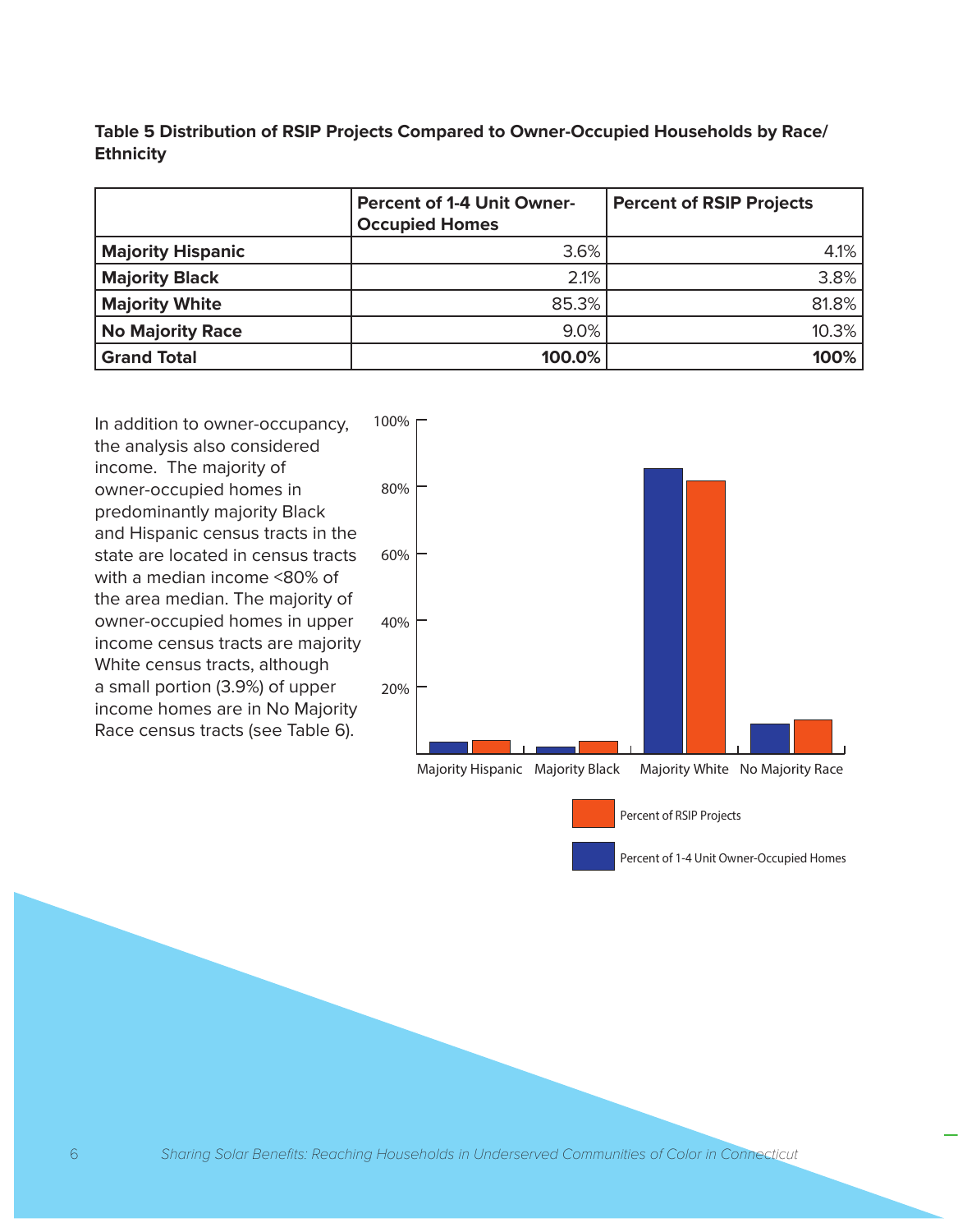**Table 5 Distribution of RSIP Projects Compared to Owner-Occupied Households by Race/ Ethnicity** 

|                          | <b>Percent of 1-4 Unit Owner-</b><br><b>Occupied Homes</b> | <b>Percent of RSIP Projects</b> |
|--------------------------|------------------------------------------------------------|---------------------------------|
| <b>Majority Hispanic</b> | 3.6%                                                       | 4.1%                            |
| <b>Majority Black</b>    | 2.1%                                                       | 3.8%                            |
| <b>Majority White</b>    | 85.3%                                                      | 81.8%                           |
| <b>No Majority Race</b>  | 9.0%                                                       | 10.3%                           |
| <b>Grand Total</b>       | 100.0%                                                     | 100%                            |

In addition to owner-occupancy, the analysis also considered income. The majority of owner-occupied homes in predominantly majority Black and Hispanic census tracts in the state are located in census tracts with a median income <80% of the area median. The majority of owner-occupied homes in upper income census tracts are majority White census tracts, although a small portion (3.9%) of upper income homes are in No Majority Race census tracts (see Table 6). 100%



Percent of 1-4 Unit Owner-Occupied Homes

6 *Sharing Solar Benefits: Reaching Households in Underserved Communities of Color in Connecticut*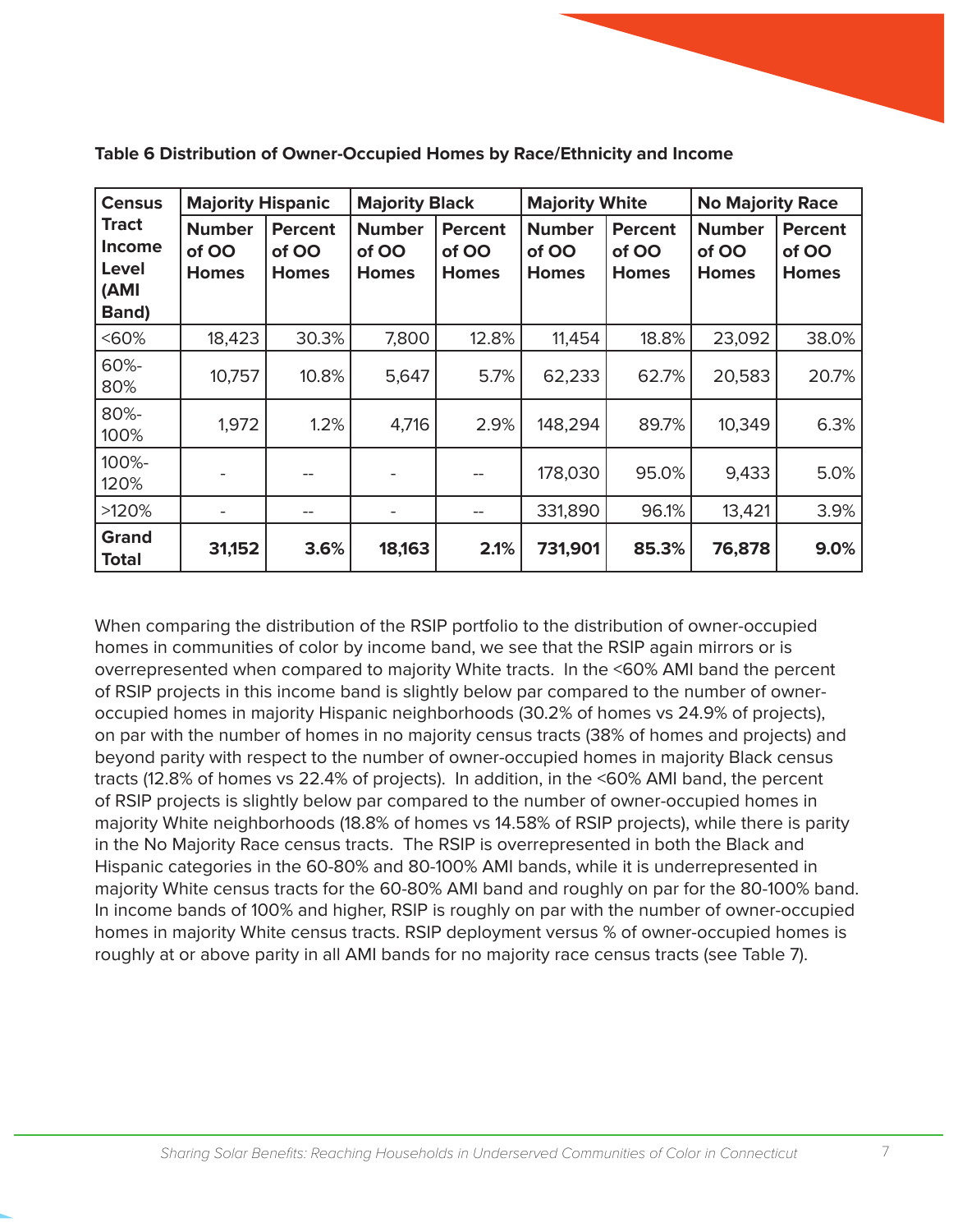

| <b>Census</b><br><b>Majority Hispanic</b>               |                                        | <b>Majority Black</b>                   |                                        |                                         | <b>Majority White</b>                  |                                         | <b>No Majority Race</b>                |                                  |
|---------------------------------------------------------|----------------------------------------|-----------------------------------------|----------------------------------------|-----------------------------------------|----------------------------------------|-----------------------------------------|----------------------------------------|----------------------------------|
| <b>Tract</b><br><b>Income</b><br>Level<br>(AMI<br>Band) | <b>Number</b><br>of OO<br><b>Homes</b> | <b>Percent</b><br>of OO<br><b>Homes</b> | <b>Number</b><br>of OO<br><b>Homes</b> | <b>Percent</b><br>of OO<br><b>Homes</b> | <b>Number</b><br>of OO<br><b>Homes</b> | <b>Percent</b><br>of OO<br><b>Homes</b> | <b>Number</b><br>of OO<br><b>Homes</b> | Percent<br>of OO<br><b>Homes</b> |
| $&50\%$                                                 | 18,423                                 | 30.3%                                   | 7,800                                  | 12.8%                                   | 11,454                                 | 18.8%                                   | 23,092                                 | 38.0%                            |
| 60%-<br>80%                                             | 10,757                                 | 10.8%                                   | 5,647                                  | 5.7%                                    | 62,233                                 | 62.7%                                   | 20,583                                 | 20.7%                            |
| 80%-<br>100%                                            | 1,972                                  | 1.2%                                    | 4,716                                  | 2.9%                                    | 148,294                                | 89.7%                                   | 10,349                                 | 6.3%                             |
| 100%-<br>120%                                           |                                        |                                         |                                        |                                         | 178,030                                | 95.0%                                   | 9,433                                  | 5.0%                             |
| >120%                                                   |                                        | --                                      |                                        | --                                      | 331,890                                | 96.1%                                   | 13,421                                 | 3.9%                             |
| Grand<br><b>Total</b>                                   | 31,152                                 | 3.6%                                    | 18,163                                 | 2.1%                                    | 731,901                                | 85.3%                                   | 76,878                                 | 9.0%                             |

**Table 6 Distribution of Owner-Occupied Homes by Race/Ethnicity and Income** 

When comparing the distribution of the RSIP portfolio to the distribution of owner-occupied homes in communities of color by income band, we see that the RSIP again mirrors or is overrepresented when compared to majority White tracts. In the <60% AMI band the percent of RSIP projects in this income band is slightly below par compared to the number of owneroccupied homes in majority Hispanic neighborhoods (30.2% of homes vs 24.9% of projects), on par with the number of homes in no majority census tracts (38% of homes and projects) and beyond parity with respect to the number of owner-occupied homes in majority Black census tracts (12.8% of homes vs 22.4% of projects). In addition, in the <60% AMI band, the percent of RSIP projects is slightly below par compared to the number of owner-occupied homes in majority White neighborhoods (18.8% of homes vs 14.58% of RSIP projects), while there is parity in the No Majority Race census tracts. The RSIP is overrepresented in both the Black and Hispanic categories in the 60-80% and 80-100% AMI bands, while it is underrepresented in majority White census tracts for the 60-80% AMI band and roughly on par for the 80-100% band. In income bands of 100% and higher, RSIP is roughly on par with the number of owner-occupied homes in majority White census tracts. RSIP deployment versus % of owner-occupied homes is roughly at or above parity in all AMI bands for no majority race census tracts (see Table 7).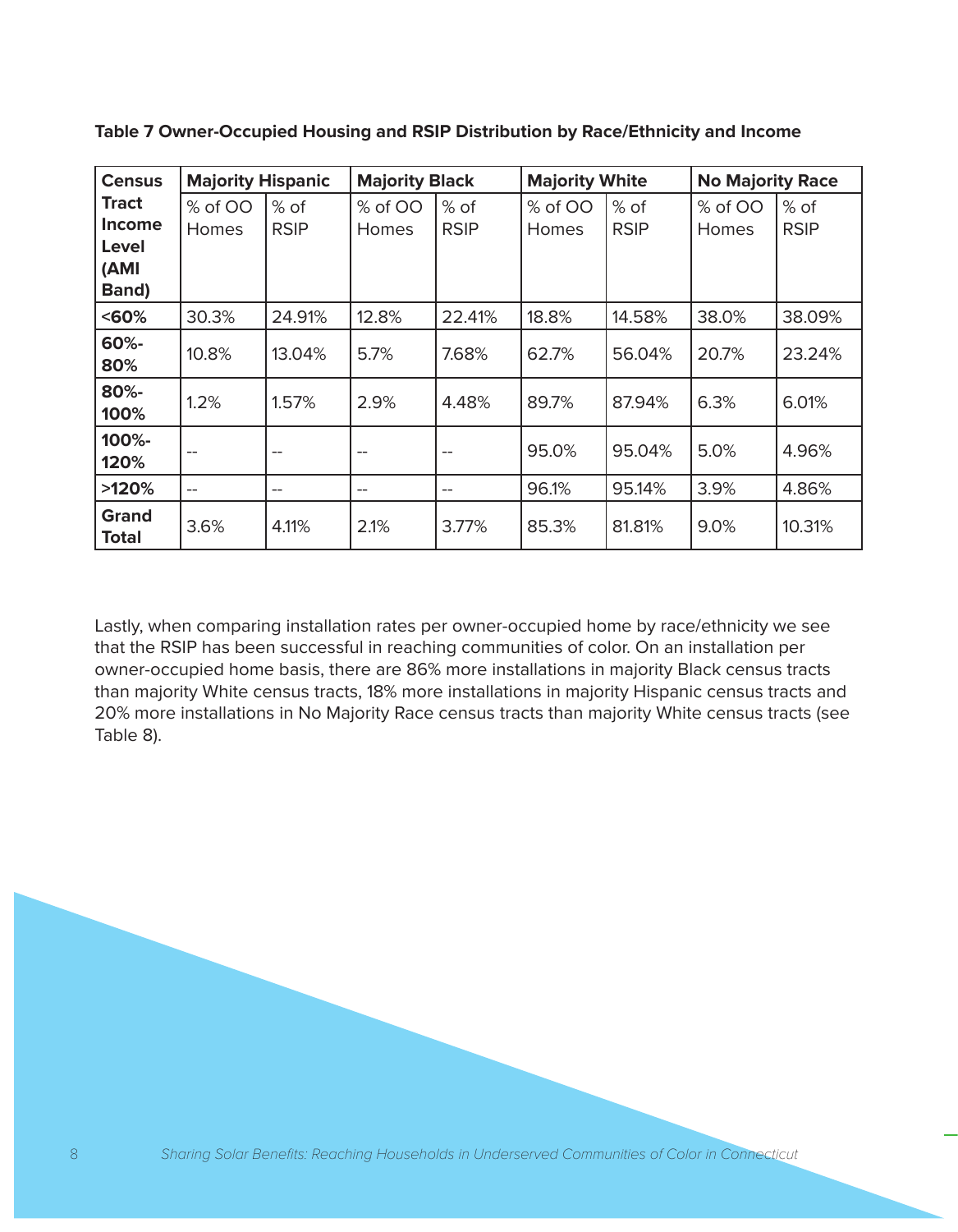| <b>Census</b>                                           | <b>Majority Hispanic</b> |                     | <b>Majority Black</b>   |                     | <b>Majority White</b> |                     | <b>No Majority Race</b> |                     |
|---------------------------------------------------------|--------------------------|---------------------|-------------------------|---------------------|-----------------------|---------------------|-------------------------|---------------------|
| <b>Tract</b><br><b>Income</b><br>Level<br>(AMI<br>Band) | % of OO<br>Homes         | % of<br><b>RSIP</b> | % of OO<br><b>Homes</b> | % of<br><b>RSIP</b> | % of OO<br>Homes      | % of<br><b>RSIP</b> | % of OO<br>Homes        | % of<br><b>RSIP</b> |
| $60%$                                                   | 30.3%                    | 24.91%              | 12.8%                   | 22.41%              | 18.8%                 | 14.58%              | 38.0%                   | 38.09%              |
| 60%-<br>80%                                             | 10.8%                    | 13.04%              | 5.7%                    | 7.68%               | 62.7%                 | 56.04%              | 20.7%                   | 23.24%              |
| 80%-<br>100%                                            | 1.2%                     | 1.57%               | 2.9%                    | 4.48%               | 89.7%                 | 87.94%              | 6.3%                    | 6.01%               |
| 100%-<br>120%                                           |                          |                     | --                      | --                  | 95.0%                 | 95.04%              | 5.0%                    | 4.96%               |
| >120%                                                   | --                       | --                  | --                      | --                  | 96.1%                 | 95.14%              | 3.9%                    | 4.86%               |
| Grand<br>Total                                          | 3.6%                     | 4.11%               | 2.1%                    | 3.77%               | 85.3%                 | 81.81%              | 9.0%                    | 10.31%              |

**Table 7 Owner-Occupied Housing and RSIP Distribution by Race/Ethnicity and Income** 

Lastly, when comparing installation rates per owner-occupied home by race/ethnicity we see that the RSIP has been successful in reaching communities of color. On an installation per owner-occupied home basis, there are 86% more installations in majority Black census tracts than majority White census tracts, 18% more installations in majority Hispanic census tracts and 20% more installations in No Majority Race census tracts than majority White census tracts (see Table 8).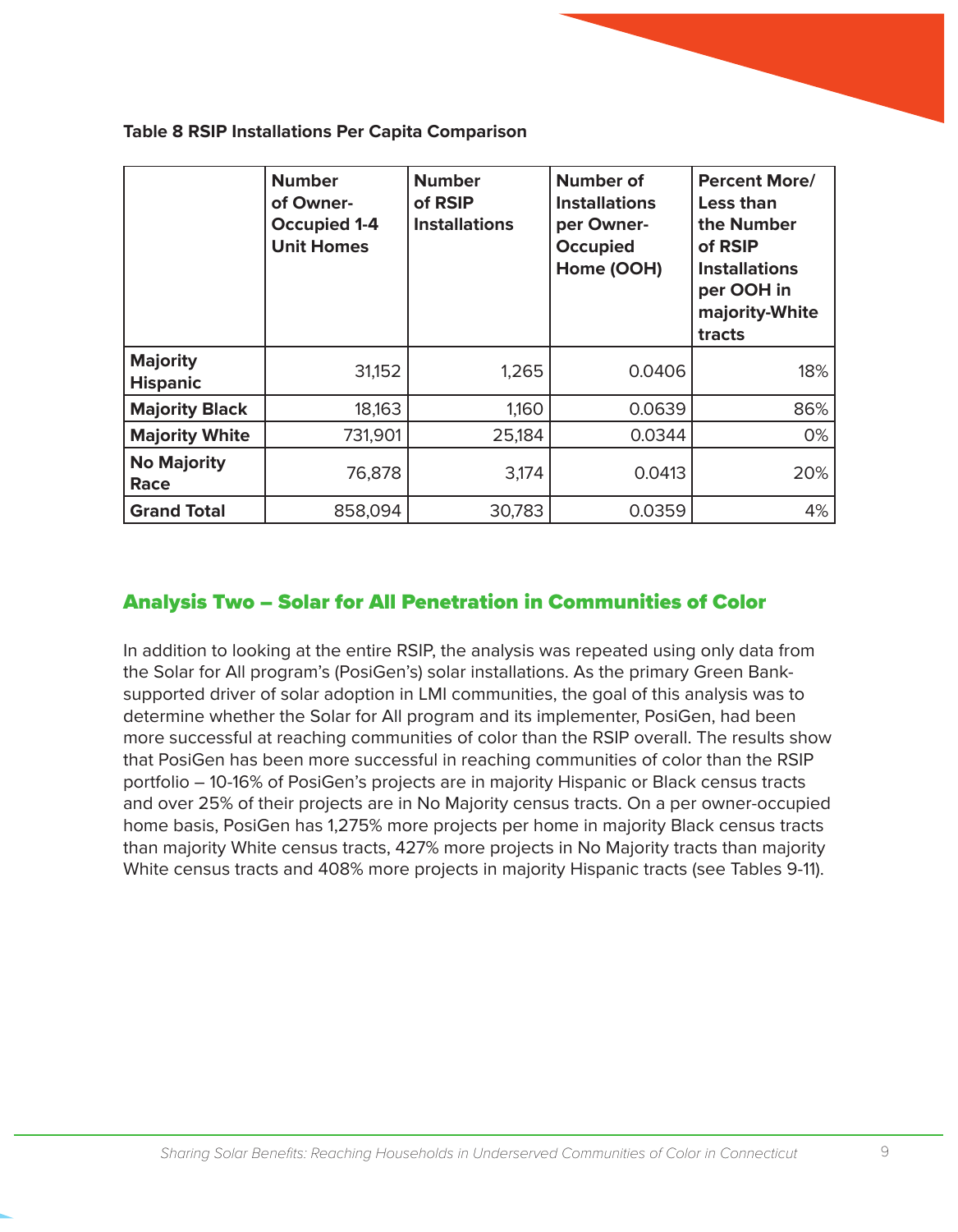

| <b>Table 8 RSIP Installations Per Capita Comparison</b> |  |  |
|---------------------------------------------------------|--|--|
|---------------------------------------------------------|--|--|

|                                    | <b>Number</b><br>of Owner-<br><b>Occupied 1-4</b><br><b>Unit Homes</b> | <b>Number</b><br>of RSIP<br><b>Installations</b> | <b>Number of</b><br><b>Installations</b><br>per Owner-<br><b>Occupied</b><br>Home (OOH) | <b>Percent More/</b><br>Less than<br>the Number<br>of RSIP<br><b>Installations</b><br>per OOH in<br>majority-White<br>tracts |
|------------------------------------|------------------------------------------------------------------------|--------------------------------------------------|-----------------------------------------------------------------------------------------|------------------------------------------------------------------------------------------------------------------------------|
| <b>Majority</b><br><b>Hispanic</b> | 31,152                                                                 | 1,265                                            | 0.0406                                                                                  | 18%                                                                                                                          |
| <b>Majority Black</b>              | 18,163                                                                 | 1,160                                            | 0.0639                                                                                  | 86%                                                                                                                          |
| <b>Majority White</b>              | 731,901                                                                | 25,184                                           | 0.0344                                                                                  | 0%                                                                                                                           |
| <b>No Majority</b><br>Race         | 76,878                                                                 | 3,174                                            | 0.0413                                                                                  | 20%                                                                                                                          |
| <b>Grand Total</b>                 | 858,094                                                                | 30,783                                           | 0.0359                                                                                  | 4%                                                                                                                           |

# Analysis Two – Solar for All Penetration in Communities of Color

In addition to looking at the entire RSIP, the analysis was repeated using only data from the Solar for All program's (PosiGen's) solar installations. As the primary Green Banksupported driver of solar adoption in LMI communities, the goal of this analysis was to determine whether the Solar for All program and its implementer, PosiGen, had been more successful at reaching communities of color than the RSIP overall. The results show that PosiGen has been more successful in reaching communities of color than the RSIP portfolio – 10-16% of PosiGen's projects are in majority Hispanic or Black census tracts and over 25% of their projects are in No Majority census tracts. On a per owner-occupied home basis, PosiGen has 1,275% more projects per home in majority Black census tracts than majority White census tracts, 427% more projects in No Majority tracts than majority White census tracts and 408% more projects in majority Hispanic tracts (see Tables 9-11).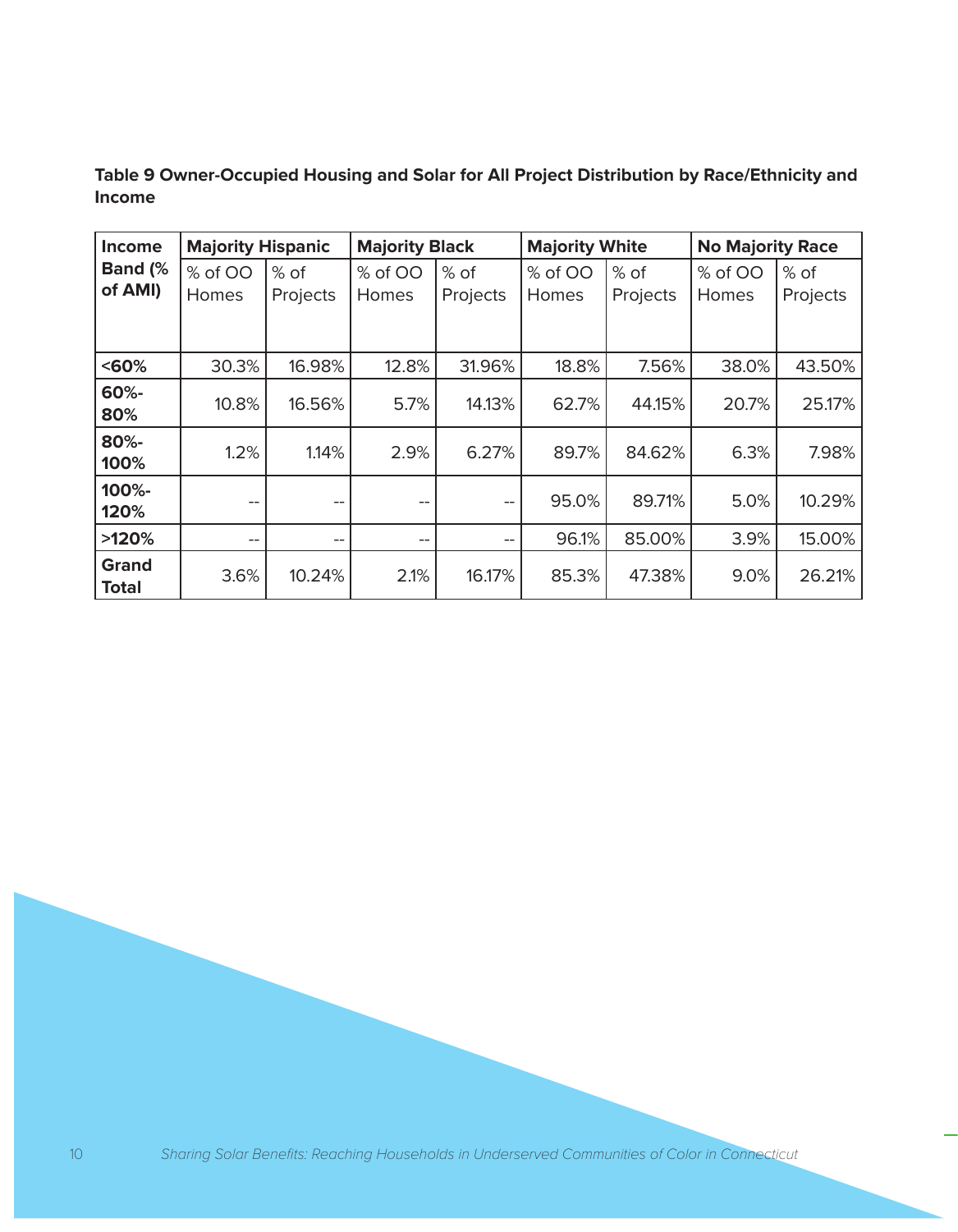**Table 9 Owner-Occupied Housing and Solar for All Project Distribution by Race/Ethnicity and Income** 

| Income                | <b>Majority Hispanic</b> |          | <b>Majority Black</b>                 |                          | <b>Majority White</b> |          | <b>No Majority Race</b> |          |
|-----------------------|--------------------------|----------|---------------------------------------|--------------------------|-----------------------|----------|-------------------------|----------|
| <b>Band (%</b>        | % of OO                  | $%$ of   | % of OO                               | % of                     | % of OO               | % of     | % of OO                 | % of     |
| of AMI)               | Homes                    | Projects | <b>Homes</b>                          | Projects                 | Homes                 | Projects | Homes                   | Projects |
|                       |                          |          |                                       |                          |                       |          |                         |          |
| $60%$                 | 30.3%                    | 16.98%   | 12.8%                                 | 31.96%                   | 18.8%                 | 7.56%    | 38.0%                   | 43.50%   |
| 60%-<br>80%           | 10.8%                    | 16.56%   | 5.7%                                  | 14.13%                   | 62.7%                 | 44.15%   | 20.7%                   | 25.17%   |
| 80%-<br>100%          | 1.2%                     | 1.14%    | 2.9%                                  | 6.27%                    | 89.7%                 | 84.62%   | 6.3%                    | 7.98%    |
| 100%-<br>120%         | --                       | --       | --                                    | $\qquad \qquad -$        | 95.0%                 | 89.71%   | 5.0%                    | 10.29%   |
| >120%                 | --                       | $- -$    | $\hspace{0.05cm}$ – $\hspace{0.05cm}$ | $\overline{\phantom{m}}$ | 96.1%                 | 85.00%   | 3.9%                    | 15.00%   |
| Grand<br><b>Total</b> | 3.6%                     | 10.24%   | 2.1%                                  | 16.17%                   | 85.3%                 | 47.38%   | 9.0%                    | 26.21%   |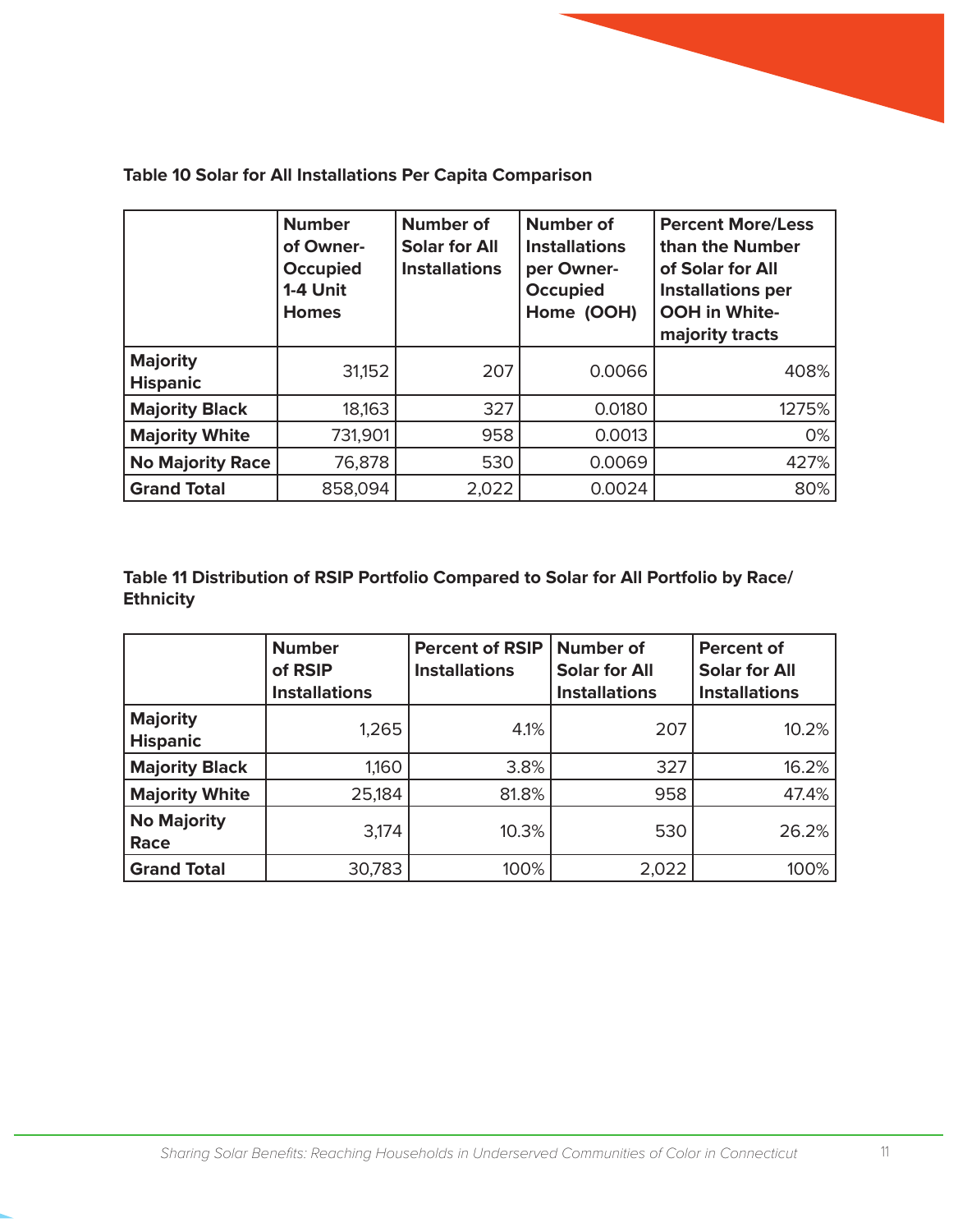

|                                    | <b>Number</b><br>of Owner-<br><b>Occupied</b><br>1-4 Unit<br><b>Homes</b> | <b>Number of</b><br><b>Solar for All</b><br><b>Installations</b> | <b>Number of</b><br><b>Installations</b><br>per Owner-<br><b>Occupied</b><br>Home (OOH) | <b>Percent More/Less</b><br>than the Number<br>of Solar for All<br><b>Installations per</b><br>OOH in White-<br>majority tracts |
|------------------------------------|---------------------------------------------------------------------------|------------------------------------------------------------------|-----------------------------------------------------------------------------------------|---------------------------------------------------------------------------------------------------------------------------------|
| <b>Majority</b><br><b>Hispanic</b> | 31,152                                                                    | 207                                                              | 0.0066                                                                                  | 408%                                                                                                                            |
| <b>Majority Black</b>              | 18,163                                                                    | 327                                                              | 0.0180                                                                                  | 1275%                                                                                                                           |
| <b>Majority White</b>              | 731,901                                                                   | 958                                                              | 0.0013                                                                                  | 0%                                                                                                                              |
| <b>No Majority Race</b>            | 76,878                                                                    | 530                                                              | 0.0069                                                                                  | 427%                                                                                                                            |
| <b>Grand Total</b>                 | 858,094                                                                   | 2,022                                                            | 0.0024                                                                                  | 80%                                                                                                                             |

## **Table 10 Solar for All Installations Per Capita Comparison**

**Table 11 Distribution of RSIP Portfolio Compared to Solar for All Portfolio by Race/ Ethnicity** 

|                                    | <b>Number</b><br>of RSIP<br><b>Installations</b> | <b>Percent of RSIP</b><br><b>Installations</b> | <b>Number of</b><br><b>Solar for All</b><br><b>Installations</b> | <b>Percent of</b><br><b>Solar for All</b><br><b>Installations</b> |
|------------------------------------|--------------------------------------------------|------------------------------------------------|------------------------------------------------------------------|-------------------------------------------------------------------|
| <b>Majority</b><br><b>Hispanic</b> | 1,265                                            | 4.1%                                           | 207                                                              | 10.2%                                                             |
| <b>Majority Black</b>              | 1,160                                            | 3.8%                                           | 327                                                              | 16.2%                                                             |
| <b>Majority White</b>              | 25,184                                           | 81.8%                                          | 958                                                              | 47.4%                                                             |
| <b>No Majority</b><br>Race         | 3,174                                            | 10.3%                                          | 530                                                              | 26.2%                                                             |
| <b>Grand Total</b>                 | 30,783                                           | 100%                                           | 2,022                                                            | 100%                                                              |